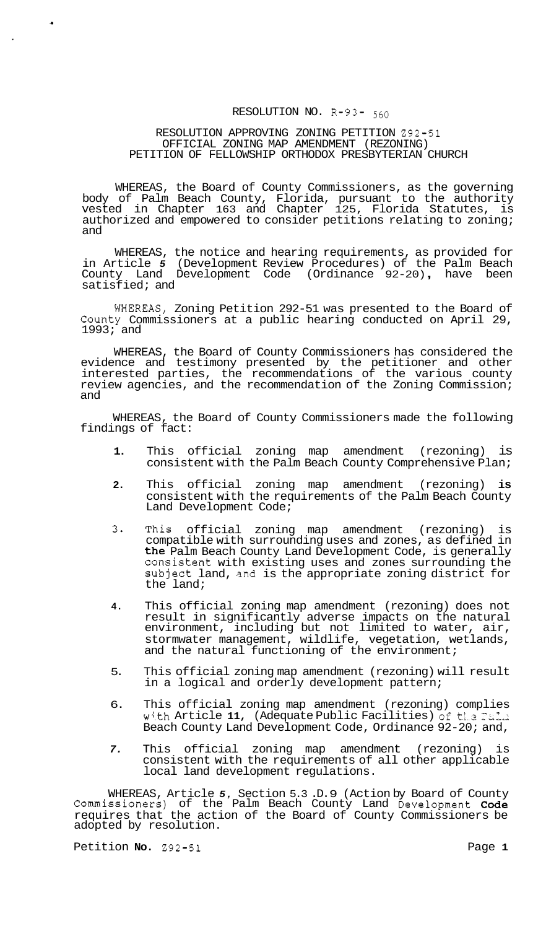# RESOLUTION NO. R-93- 560

### RESOLUTION APPROVING ZONING PETITION 292-51 PETITION OF FELLOWSHIP ORTHODOX PRESBYTERIAN CHURCH OFFICIAL ZONING MAP AMENDMENT (REZONING)

WHEREAS, the Board of County Commissioners, as the governing body of Palm Beach County, Florida, pursuant to the authority vested in Chapter 163 and Chapter 125, Florida Statutes, is authorized and empowered to consider petitions relating to zoning; and

WHEREAS, the notice and hearing requirements, as provided for in Article *5* (Development Review Procedures) of the Palm Beach County Land Development Code (Ordinance 92-20) , have been satisfied; and

WHEREAS, Zoning Petition 292-51 was presented to the Board of County Commissioners at a public hearing conducted on April 29, 1993; and

WHEREAS, the Board of County Commissioners has considered the evidence and testimony presented by the petitioner and other interested parties, the recommendations of the various county review agencies, and the recommendation of the Zoning Commission; and

WHEREAS, the Board of County Commissioners made the following findings of fact:

- **1.** This official zoning map amendment (rezoning) is consistent with the Palm Beach County Comprehensive Plan;
- **2.** This official zoning map amendment (rezoning) **is**  consistent with the requirements of the Palm Beach County Land Development Code;
- 3 This official zoning map amendment (rezoning) is compatible with surrounding uses and zones, as defined in the Palm Beach County Land Development Code, is generally consistent with existing uses and zones surrounding the subject land, and is the appropriate zoning district for the land;
- **4.** This official zoning map amendment (rezoning) does not result in significantly adverse impacts on the natural environment, including but not limited to water, air, stormwater management, wildlife, vegetation, wetlands, and the natural functioning of the environment;
- 5. This official zoning map amendment (rezoning) will result in a logical and orderly development pattern;
- 6. This official zoning map amendment (rezoning) complies with Article 11, (Adequate Public Facilities) of the Fal. Beach County Land Development Code, Ordinance 92-20; and,
- *7.* This official zoning map amendment (rezoning) is consistent with the requirements of all other applicable local land development regulations.

WHEREAS, Article *5,* Section 5.3 .D. 9 (Action by Board of County Commissioners) of the Palm Beach County Land Development Code requires that the action of the Board of County Commissioners be adopted by resolution.

Petition **No.** 292-51 **Page 1 Page 1** 

**c**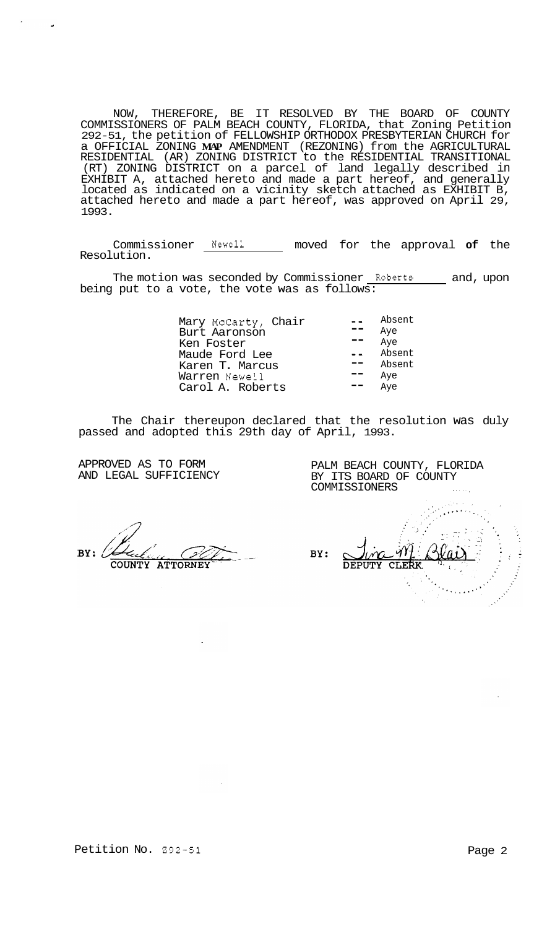NOW, THEREFORE, BE IT RESOLVED BY THE BOARD OF COUNTY COMMISSIONERS OF PALM BEACH COUNTY, FLORIDA, that Zoning Petition 292-51, the petition of FELLOWSHIP ORTHODOX PRESBYTERIAN CHURCH for a OFFICIAL ZONING **MAP** AMENDMENT (REZONING) from the AGRICULTURAL RESIDENTIAL (AR) ZONING DISTRICT to the RESIDENTIAL TRANSITIONAL (RT) ZONING DISTRICT on a parcel of land legally described in EXHIBIT A, attached hereto and made a part hereof, and generally located as indicated on a vicinity sketch attached as EXHIBIT B, attached hereto and made a part hereof, was approved on April 29, 1993.

Commissioner Newell moved for the approval **of** the Resolution.

The motion was seconded by Commissioner Roberts and, upon being put to a vote, the vote was as follows:

> Mary McCarty, Chair -- Absent Burt Aaronson -- Aye Ken Foster -- Aye Maude Ford Lee -- Absent Karen T. Marcus  $\begin{array}{ccc} \text{1} & \text{1} & \text{1} \\ \text{1} & \text{1} & \text{1} \\ \text{1} & \text{1} & \text{1} \\ \text{2} & \text{1} & \text{1} \\ \end{array}$ Warren Newell **--** Aye<br>Carol A. Roberts -- Aye Carol A. Roberts

The Chair thereupon declared that the resolution was duly passed and adopted this 29th day of April, 1993.

APPROVED AS TO FORM AND LEGAL SUFFICIENCY

PALM BEACH COUNTY, FLORIDA BY ITS BOARD OF COUNTY COMMISSIONERS .....,

 $RY:$ **COUNTY ATTORNEY** 

BY: **CLERK** צידנזי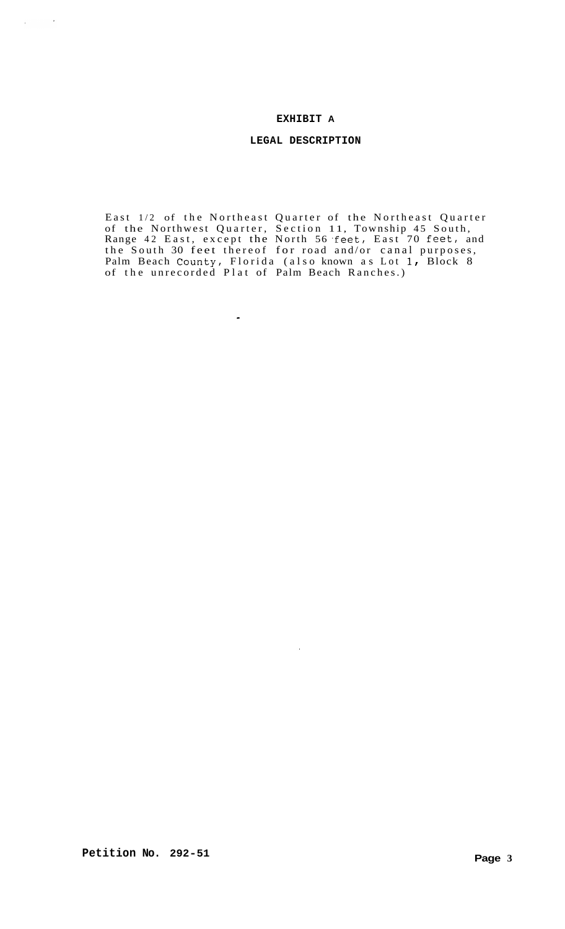### **EXHIBIT A**

## **LEGAL DESCRIPTION**

East 1/2 of the Northeast Quarter of the Northeast Quarter of the Northwest Quarter, Section 11, Township 45 South, Range 42 East, except the North 56 feet, East 70 feet, and the South 30 feet thereof for road and/or canal purposes, Palm Beach County, Florida (also known as Lot 1 *r* Block 8 of the unrecorded Plat of Palm Beach Ranches.)

 $\hat{A}$ 

 $\bullet$ 

 $\mathcal{L}_{\text{max}}$  and  $\mathcal{L}_{\text{max}}$